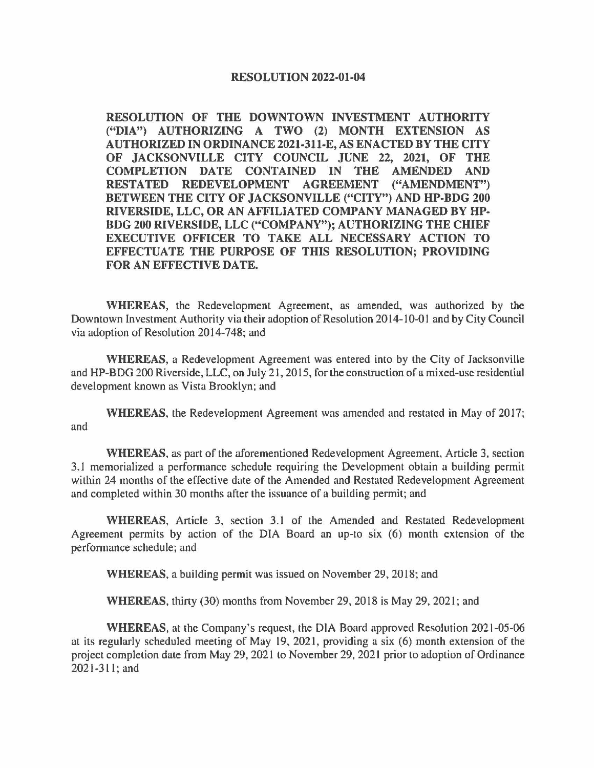## **RESOLUTION 2022-01-04**

**RESOLUTION OF THE DOWNTOWN INVESTMENT AUTHORITY ("DIA") AUTHORIZING A TWO (2) MONTH EXTENSION AS AUTHORIZED IN ORDINANCE 2021-311-E, AS ENACTED BY THE CITY OF JACKSONVILLE CITY COUNCIL JUNE 22, 2021, OF THE COMPLETION DATE CONTAINED IN THE RESTATED REDEVELOPMENT AGREEMENT ("AMENDMENT") BETWEEN THE CITY OF JACKSONVILLE ("CITY") AND HP-BDG 200 RIVERSIDE, LLC, OR AN AFFILIATED COMPANY MANAGED BY HP-BDG 200 RIVERSIDE, LLC ("COMPANY"); AUTHORIZING THE CHIEF EXECUTIVE OFFICER TO TAKE ALL NECESSARY ACTION TO EFFECTUATE THE PURPOSE OF THIS RESOLUTION; PROVIDING FOR AN EFFECTIVE DATE.** 

**WHEREAS,** the Redevelopment Agreement, as amended, was authorized by the Downtown Investment Authority via their adoption of Resolution 2014-10-01 and by City Council via adoption of Resolution 2014-748; and

**WHEREAS,** a Redevelopment Agreement was entered into by the City of Jacksonville and HP-BDG 200 Riverside, LLC, on July 21, 2015, for the construction of a mixed-use residential development known as Vista Brooklyn; and

**WHEREAS,** the Redevelopment Agreement was amended and restated in May of 2017; and

**WHEREAS,** as part of the aforementioned Redevelopment Agreement, Article 3, section 3.1 memorialized a performance schedule requiring the Development obtain a building permit within 24 months of the effective date of the Amended and Restated Redevelopment Agreement and completed within 30 months after the issuance of a building permit; and

**WHEREAS,** Article 3, section 3.1 of the Amended and Restated Redevelopment Agreement permits by action of the DIA Board an up-to six (6) month extension of the performance schedule; and

**WHEREAS,** a building permit was issued on November 29, 2018; and

**WHEREAS,** thirty (30) months from November 29, 2018 is May 29, 2021; and

**WHEREAS,** at the Company's request, the DIA Board approved Resolution 2021-05-06 at its regularly scheduled meeting of May 19, 2021, providing a six (6) month extension of the project completion date from May 29, 2021 to November 29, 2021 prior to adoption of Ordinance 2021-311; and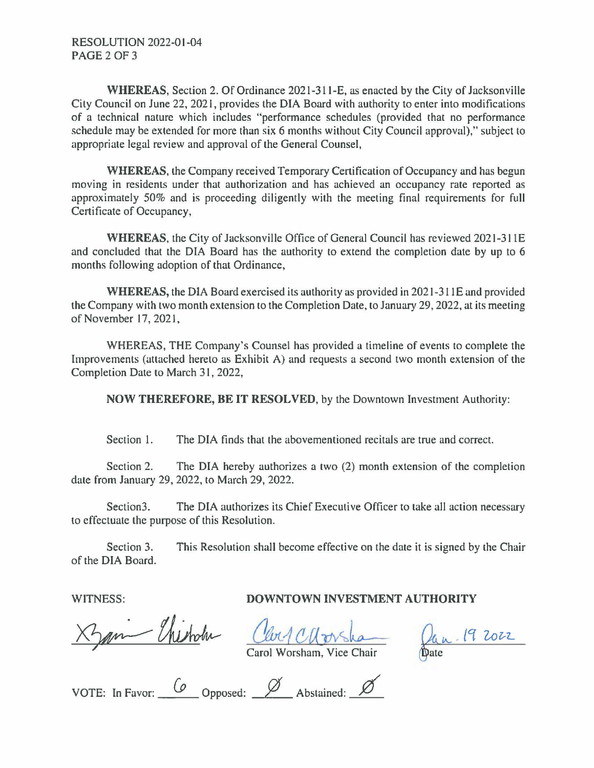**WHEREAS,** Section 2. Of Ordinance 2021-311-E, as enacted by the City of Jacksonville City Council on June 22, 2021, provides the DIA Board with authority to enter into modifications of a technical nature which includes "performance schedules (provided that no performance schedule may be extended for more than six 6 months without City Council approval)," subject to appropriate legal review and approval of the General Counsel,

**WHEREAS,** the Company received Temporary Certification of Occupancy and has begun moving in residents under that authorization and has achieved an occupancy rate reported as approximately 50% and is proceeding diligently with the meeting final requirements for full Certificate of Occupancy,

WHEREAS, the City of Jacksonville Office of General Council has reviewed 2021-311E and concluded that the DIA Board has the authority to extend the completion date by up to 6 months following adoption of that Ordinance,

WHEREAS, the DIA Board exercised its authority as provided in 2021-311E and provided the Company with two month extension to the Completion Date, to January 29, 2022, at its meeting of November 17, 2021,

**WHEREAS,** THE Company's Counsel has provided a timeline of events to complete the Improvements (attached hereto as Exhibit A) and requests a second two month extension of the Completion Date to March 31, 2022,

**NOW THEREFORE, BE IT RESOLVED,** by the Downtown Investment Authority:

Section I. The DIA finds that the abovementioned recitals are true and correct.

Section 2. The DIA hereby authorizes a two (2) month extension of the completion date from January 29, 2022, to March 29, 2022.

Section3. The DIA authorizes its Chief Executive Officer to take all action necessary to effectuate the purpose of this Resolution.

Section 3. This Resolution shall become effective on the date it is signed by the Chair of the DIA Board.

## WITNESS: **DOWNTOWN INVESTMENT AUTHORITY**

an Chistolu

Carol Worsham, Vice Chair

lan-19 2022

VOTE: In Favor: <u>*C*</u> Opposed: <u>*N*</u> Abstained: *N*